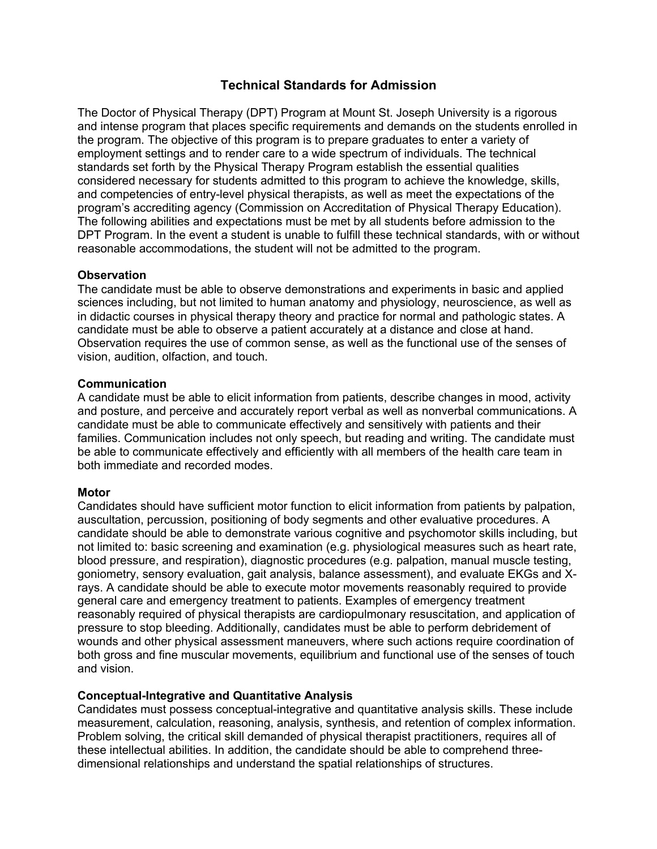# **Technical Standards for Admission**

The Doctor of Physical Therapy (DPT) Program at Mount St. Joseph University is a rigorous and intense program that places specific requirements and demands on the students enrolled in the program. The objective of this program is to prepare graduates to enter a variety of employment settings and to render care to a wide spectrum of individuals. The technical standards set forth by the Physical Therapy Program establish the essential qualities considered necessary for students admitted to this program to achieve the knowledge, skills, and competencies of entry-level physical therapists, as well as meet the expectations of the program's accrediting agency (Commission on Accreditation of Physical Therapy Education). The following abilities and expectations must be met by all students before admission to the DPT Program. In the event a student is unable to fulfill these technical standards, with or without reasonable accommodations, the student will not be admitted to the program.

### **Observation**

The candidate must be able to observe demonstrations and experiments in basic and applied sciences including, but not limited to human anatomy and physiology, neuroscience, as well as in didactic courses in physical therapy theory and practice for normal and pathologic states. A candidate must be able to observe a patient accurately at a distance and close at hand. Observation requires the use of common sense, as well as the functional use of the senses of vision, audition, olfaction, and touch.

#### **Communication**

A candidate must be able to elicit information from patients, describe changes in mood, activity and posture, and perceive and accurately report verbal as well as nonverbal communications. A candidate must be able to communicate effectively and sensitively with patients and their families. Communication includes not only speech, but reading and writing. The candidate must be able to communicate effectively and efficiently with all members of the health care team in both immediate and recorded modes.

## **Motor**

Candidates should have sufficient motor function to elicit information from patients by palpation, auscultation, percussion, positioning of body segments and other evaluative procedures. A candidate should be able to demonstrate various cognitive and psychomotor skills including, but not limited to: basic screening and examination (e.g. physiological measures such as heart rate, blood pressure, and respiration), diagnostic procedures (e.g. palpation, manual muscle testing, goniometry, sensory evaluation, gait analysis, balance assessment), and evaluate EKGs and Xrays. A candidate should be able to execute motor movements reasonably required to provide general care and emergency treatment to patients. Examples of emergency treatment reasonably required of physical therapists are cardiopulmonary resuscitation, and application of pressure to stop bleeding. Additionally, candidates must be able to perform debridement of wounds and other physical assessment maneuvers, where such actions require coordination of both gross and fine muscular movements, equilibrium and functional use of the senses of touch and vision.

## **Conceptual-Integrative and Quantitative Analysis**

Candidates must possess conceptual-integrative and quantitative analysis skills. These include measurement, calculation, reasoning, analysis, synthesis, and retention of complex information. Problem solving, the critical skill demanded of physical therapist practitioners, requires all of these intellectual abilities. In addition, the candidate should be able to comprehend threedimensional relationships and understand the spatial relationships of structures.